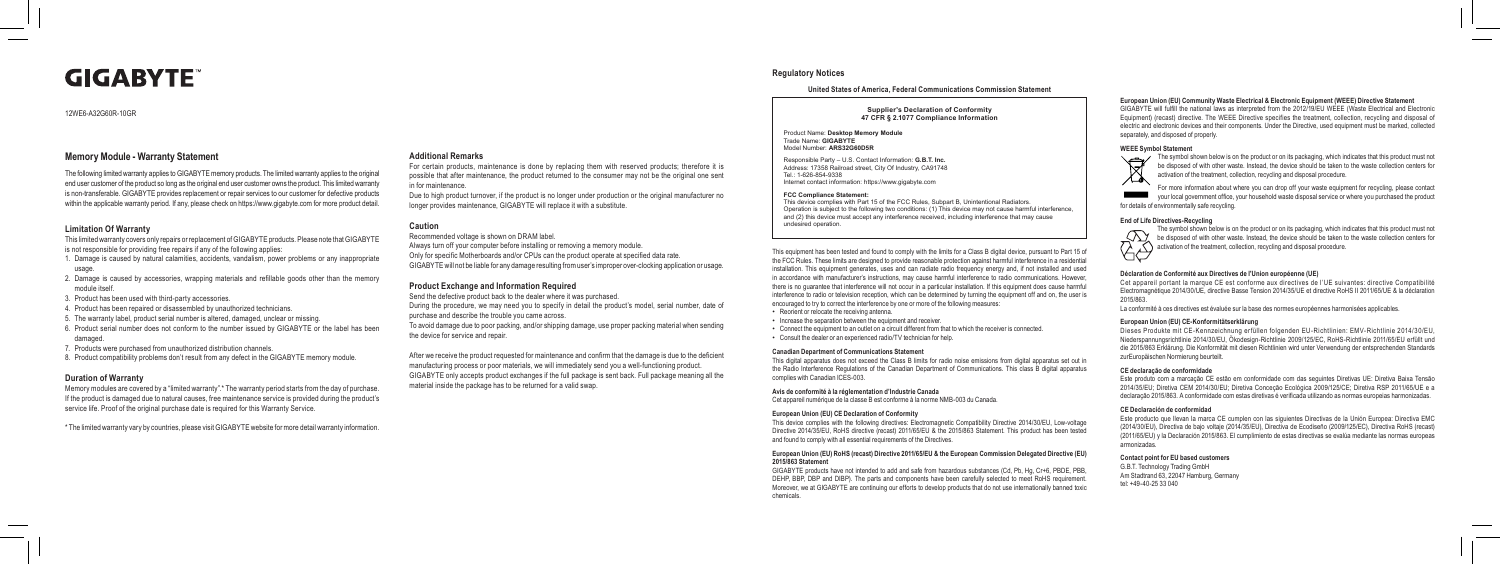## **Memory Module - Warranty Statement**

The following limited warranty applies to GIGABYTE memory products. The limited warranty applies to the original end user customer of the product so long as the original end user customer owns the product. This limited warranty is non-transferable. GIGABYTE provides replacement or repair services to our customer for defective products within the applicable warranty period. If any, please check on https://www.gigabyte.com for more product detail.

### **Limitation Of Warranty**

This limited warranty covers only repairs or replacement of GIGABYTE products. Please note that GIGABYTE is not responsible for providing free repairs if any of the following applies:

- 1. Damage is caused by natural calamities, accidents, vandalism, power problems or any inappropriate usage.
- 2. Damage is caused by accessories, wrapping materials and refillable goods other than the memory module itself.
- 3. Product has been used with third-party accessories.
- 4. Product has been repaired or disassembled by unauthorized technicians.
- 5. The warranty label, product serial number is altered, damaged, unclear or missing.
- 6. Product serial number does not conform to the number issued by GIGABYTE or the label has been damaged.
- 7. Products were purchased from unauthorized distribution channels.
- 8. Product compatibility problems don't result from any defect in the GIGABYTE memory module.

### **Duration of Warranty**

Memory modules are covered by a "limited warranty".\* The warranty period starts from the day of purchase. If the product is damaged due to natural causes, free maintenance service is provided during the product's service life. Proof of the original purchase date is required for this Warranty Service.

\* The limited warranty vary by countries, please visit GIGABYTE website for more detail warranty information.

### **Additional Remarks**

For certain products, maintenance is done by replacing them with reserved products; therefore it is possible that after maintenance, the product returned to the consumer may not be the original one sent in for maintenance.

Due to high product turnover, if the product is no longer under production or the original manufacturer no longer provides maintenance, GIGABYTE will replace it with a substitute.

### **Caution**

Recommended voltage is shown on DRAM label.

Always turn off your computer before installing or removing a memory module. Only for specific Motherboards and/or CPUs can the product operate at specified data rate. GIGABYTE will not be liable for any damage resulting from user's improper over-clocking application or usage.

### **Product Exchange and Information Required**

Send the defective product back to the dealer where it was purchased.

During the procedure, we may need you to specify in detail the product's model, serial number, date of purchase and describe the trouble you came across.

To avoid damage due to poor packing, and/or shipping damage, use proper packing material when sending the device for service and repair.

After we receive the product requested for maintenance and confirm that the damage is due to the deficient manufacturing process or poor materials, we will immediately send you a well-functioning product. GIGABYTE only accepts product exchanges if the full package is sent back. Full package meaning all the material inside the package has to be returned for a valid swap.

# **GIGARYTE**

#### 12WE6-A32G60R-10GR

### **Regulatory Notices**

### **United States of America, Federal Communications Commission Statement**

**Supplier's Declaration of Conformity 47 CFR § 2.1077 Compliance Information**

Product Name: **Desktop Memory Module** Trade Name: **GIGABYTE** Model Number: **ARS32G60D5R**

Responsible Party – U.S. Contact Information: **G.B.T. Inc.**  Address: 17358 Railroad street, City Of Industry, CA91748 Tel.: 1-626-854-9338 Internet contact information: https://www.gigabyte.com

> The symbol shown below is on the product or on its packaging, which indicates that this product must not be disposed of with other waste. Instead, the device should be taken to the waste collection centers for be disposed of with other waste. Instead, the device should be taken to activation of the treatment, collection, recycling and disposal procedure.

#### **FCC Compliance Statement:**

This device complies with Part 15 of the FCC Rules, Subpart B, Unintentional Radiators. Operation is subject to the following two conditions: (1) This device may not cause harmful interference, and (2) this device must accept any interference received, including interference that may cause undesired operation.

This equipment has been tested and found to comply with the limits for a Class B digital device, pursuant to Part 15 of the FCC Rules. These limits are designed to provide reasonable protection against harmful interference in a residential installation. This equipment generates, uses and can radiate radio frequency energy and, if not installed and used in accordance with manufacturer's instructions, may cause harmful interference to radio communications. However, there is no guarantee that interference will not occur in a particular installation. If this equipment does cause harmful interference to radio or television reception, which can be determined by turning the equipment off and on, the user is encouraged to try to correct the interference by one or more of the following measures:

- Reorient or relocate the receiving antenna.
- Increase the separation between the equipment and receiver.
- Connect the equipment to an outlet on a circuit different from that to which the receiver is connected.
- Consult the dealer or an experienced radio/TV technician for help.

#### **Canadian Department of Communications Statement**

This digital apparatus does not exceed the Class B limits for radio noise emissions from digital apparatus set out in the Radio Interference Regulations of the Canadian Department of Communications. This class B digital apparatus complies with Canadian ICES-003.

#### **Avis de conformité à la réglementation d'Industrie Canada**

Cet appareil numérique de la classe B est conforme à la norme NMB-003 du Canada.

#### **European Union (EU) CE Declaration of Conformity**

This device complies with the following directives: Electromagnetic Compatibility Directive 2014/30/EU, Low-voltage Directive 2014/35/EU, RoHS directive (recast) 2011/65/EU & the 2015/863 Statement. This product has been tested and found to comply with all essential requirements of the Directives.

#### **European Union (EU) RoHS (recast) Directive 2011/65/EU & the European Commission Delegated Directive (EU) 2015/863 Statement**

GIGABYTE products have not intended to add and safe from hazardous substances (Cd, Pb, Hg, Cr+6, PBDE, PBB, DEHP, BBP, DBP and DIBP). The parts and components have been carefully selected to meet RoHS requirement. Moreover, we at GIGABYTE are continuing our efforts to develop products that do not use internationally banned toxic chemicals.

#### **European Union (EU) Community Waste Electrical & Electronic Equipment (WEEE) Directive Statement**

GIGABYTE will fulfill the national laws as interpreted from the 2012/19/EU WEEE (Waste Electrical and Electronic Equipment) (recast) directive. The WEEE Directive specifies the treatment, collection, recycling and disposal of electric and electronic devices and their components. Under the Directive, used equipment must be marked, collected

# separately, and disposed of properly. **WEEE Symbol Statement**



The symbol shown below is on the product or on its packaging, which indicates that this product must not be disposed of with other waste. Instead, the device should be taken to the waste collection centers for activation of the treatment, collection, recycling and disposal procedure.

For more information about where you can drop off your waste equipment for recycling, please contact your local government office, your household waste disposal service or where you purchased the product for details of environmentally safe recycling.

## **End of Life Directives-Recycling**



## **Déclaration de Conformité aux Directives de l'Union européenne (UE)**

Cet appareil portant la marque CE est conforme aux directives de l'UE suivantes: directive Compatibilité Electromagnétique 2014/30/UE, directive Basse Tension 2014/35/UE et directive RoHS II 2011/65/UE & la déclaration

2015/863.

La conformité à ces directives est évaluée sur la base des normes européennes harmonisées applicables.

## **European Union (EU) CE-Konformitätserklärung**

Dieses Produkte mit CE-Kennzeichnung erfüllen folgenden EU-Richtlinien: EMV-Richtlinie 2014/30/EU, Niederspannungsrichtlinie 2014/30/EU, Ökodesign-Richtlinie 2009/125/EC, RoHS-Richtlinie 2011/65/EU erfüllt und die 2015/863 Erklärung. Die Konformität mit diesen Richtlinien wird unter Verwendung der entsprechenden Standards zurEuropäischen Normierung beurteilt.

### **CE declaração de conformidade**

Este produto com a marcação CE estão em conformidade com das seguintes Diretivas UE: Diretiva Baixa Tensão 2014/35/EU; Diretiva CEM 2014/30/EU; Diretiva Conceção Ecológica 2009/125/CE; Diretiva RSP 2011/65/UE e a declaração 2015/863. A conformidade com estas diretivas é verificada utilizando as normas europeias harmonizadas.

## **CE Declaración de conformidad**

Este producto que llevan la marca CE cumplen con las siguientes Directivas de la Unión Europea: Directiva EMC (2014/30/EU), Directiva de bajo voltaje (2014/35/EU), Directiva de Ecodiseño (2009/125/EC), Directiva RoHS (recast) (2011/65/EU) y la Declaración 2015/863. El cumplimiento de estas directivas se evalúa mediante las normas europeas armonizadas.

## **Contact point for EU based customers**

G.B.T. Technology Trading GmbH Am Stadtrand 63, 22047 Hamburg, Germany tel: +49-40-25 33 040